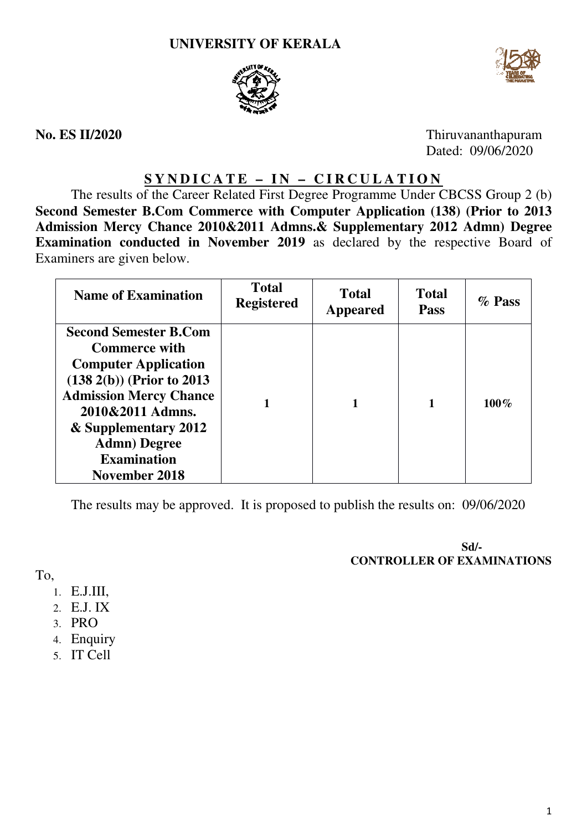



**No. ES II/2020**

Thiruvananthapuram Dated: 09/06/2020

## **S Y N D I C A T E – I N – C I R C U L A T I O N**

The results of the Career Related First Degree Programme Under CBCSS Group 2 (b) Second Semester B.Com Commerce with Computer Application (138) (Prior to 2013 **Admission Mercy Chance 2010&2011 Admns.& Supplementary 2012 Admn Admn) Degree Examination conducted in November 2019** as declared by the respective Board of Examiners are given below.

| <b>Name of Examination</b>                                                                                                                                                                                                                                       | <b>Total</b><br><b>Registered</b> | <b>Total</b><br><b>Appeared</b> | <b>Total</b><br><b>Pass</b> | $\%$ Pass |
|------------------------------------------------------------------------------------------------------------------------------------------------------------------------------------------------------------------------------------------------------------------|-----------------------------------|---------------------------------|-----------------------------|-----------|
| <b>Second Semester B.Com</b><br><b>Commerce with</b><br><b>Computer Application</b><br>$(138\ 2(b))$ (Prior to 2013)<br><b>Admission Mercy Chance</b><br>2010&2011 Admns.<br>& Supplementary 2012<br><b>Admn</b> ) Degree<br><b>Examination</b><br>November 2018 |                                   |                                 |                             | $100\%$   |

The results may be approved. It is proposed to publish the results on: 09/06/2020

**CONTROLLER OF EXAMINATIONS Sd/-** 

To,

- 1. E.J.III,
- 2. E.J. IX
- 3. PRO
- 4. Enquiry
- 5. IT Cell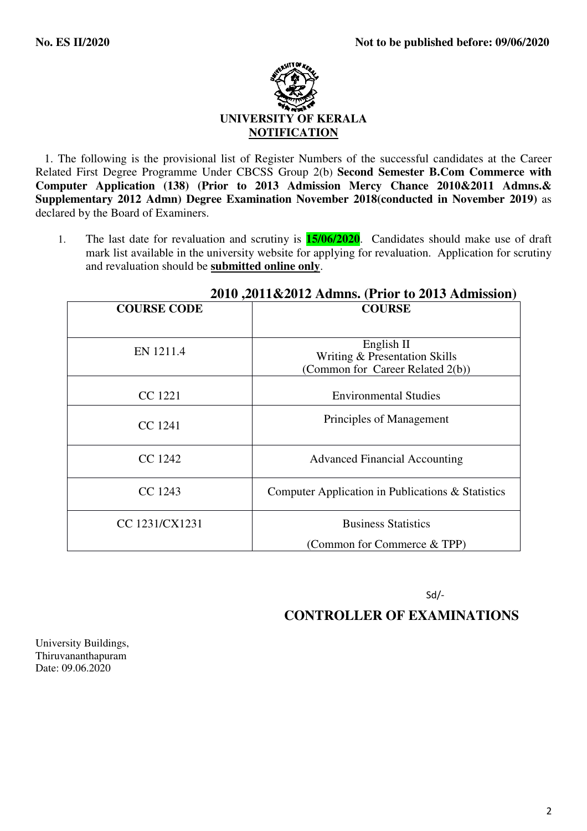

 1. The following is the provisional list of Register Numbers of the successful candidates at the Career Related First Degree Programme Under CBCSS Group 2(b) **Second Semester B.Com Commerce with Computer Application (138) (Prior to 2013 Admission Mercy Chance 2010&2011 Admns.& Supplementary 2012 Admn) Degree Examination November 2018(conducted in November 2019)** as declared by the Board of Examiners.

1. The last date for revaluation and scrutiny is **15/06/2020**. Candidates should make use of draft mark list available in the university website for applying for revaluation. Application for scrutiny and revaluation should be **submitted online only**.

| <b>COURSE CODE</b> | <b>COURSE</b>                                                                   |  |  |
|--------------------|---------------------------------------------------------------------------------|--|--|
| EN 1211.4          | English II<br>Writing & Presentation Skills<br>(Common for Career Related 2(b)) |  |  |
| CC 1221            | <b>Environmental Studies</b>                                                    |  |  |
| CC 1241            | Principles of Management                                                        |  |  |
| CC 1242            | <b>Advanced Financial Accounting</b>                                            |  |  |
| CC 1243            | Computer Application in Publications & Statistics                               |  |  |
| CC 1231/CX1231     | <b>Business Statistics</b>                                                      |  |  |
|                    | (Common for Commerce & TPP)                                                     |  |  |

### **2010 ,2011&2012 Admns. (Prior to 2013 Admission)**

Sd/-

# **CONTROLLER OF EXAMINATIONS**

University Buildings, Thiruvananthapuram Date: 09.06.2020